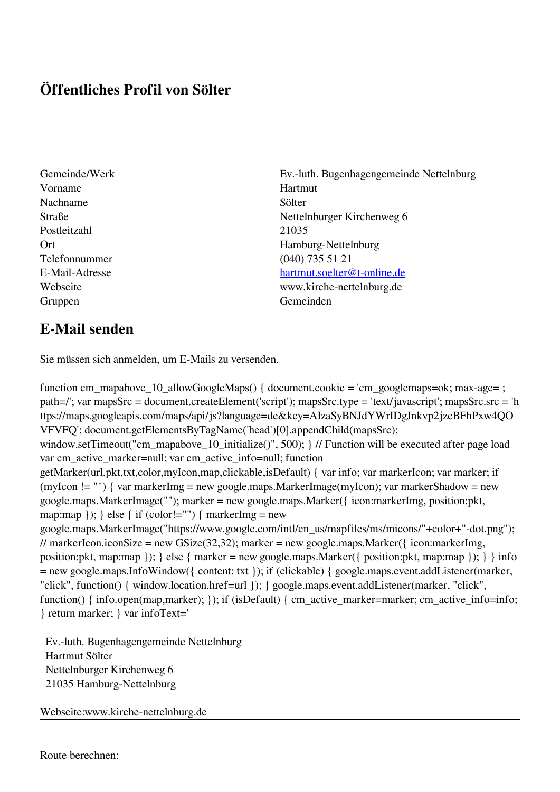## **Öffentliches Profil von Sölter**

- Vorname Hartmut Nachname Sölter Postleitzahl 21035 Telefonnummer (040) 735 51 21 Gruppen Gemeinden Gemeinden Gemeinden Gemeinden Gemeinden Gemeinden Gemeinden Gemeinden Gemeinden Gemeinden G
- Gemeinde/Werk Ev.-luth. Bugenhagengemeinde Nettelnburg Straße Nettelnburger Kirchenweg 6 Ort Hamburg-Nettelnburg E-Mail-Adresse [hartmut.soelter@t-online.de](mailto:hartmut.soelter@t-online.de) Webseite www.kirche-nettelnburg.de

## **E-Mail senden**

Sie müssen sich anmelden, um E-Mails zu versenden.

function cm\_mapabove\_10\_allowGoogleMaps() { document.cookie = 'cm\_googlemaps=ok; max-age= ; path=/'; var mapsSrc = document.createElement('script'); mapsSrc.type = 'text/javascript'; mapsSrc.src = 'h ttps://maps.googleapis.com/maps/api/js?language=de&key=AIzaSyBNJdYWrIDgJnkvp2jzeBFhPxw4QO VFVFQ'; document.getElementsByTagName('head')[0].appendChild(mapsSrc); window.setTimeout("cm\_mapabove\_10\_initialize()", 500); } // Function will be executed after page load var cm\_active\_marker=null; var cm\_active\_info=null; function getMarker(url,pkt,txt,color,myIcon,map,clickable,isDefault) { var info; var markerIcon; var marker; if (myIcon != "") { var markerImg = new google.maps.MarkerImage(myIcon); var markerShadow = new google.maps.MarkerImage(""); marker = new google.maps.Marker({ icon:markerImg, position:pkt, map:map  $\}$ ;  $\}$  else  $\{$  if (color!="")  $\{$  markerImg = new google.maps.MarkerImage("https://www.google.com/intl/en\_us/mapfiles/ms/micons/"+color+"-dot.png"); // markerIcon.iconSize = new GSize(32,32); marker = new google.maps.Marker( $\{$  icon:markerImg, position:pkt, map:map }); } else { marker = new google.maps.Marker({ position:pkt, map:map }); } } info = new google.maps.InfoWindow({ content: txt }); if (clickable) { google.maps.event.addListener(marker, "click", function() { window.location.href=url }); } google.maps.event.addListener(marker, "click", function() { info.open(map,marker); }); if (isDefault) { cm\_active\_marker=marker; cm\_active\_info=info; } return marker; } var infoText='

 Ev.-luth. Bugenhagengemeinde Nettelnburg Hartmut Sölter Nettelnburger Kirchenweg 6 21035 Hamburg-Nettelnburg

Webseite:www.kirche-nettelnburg.de